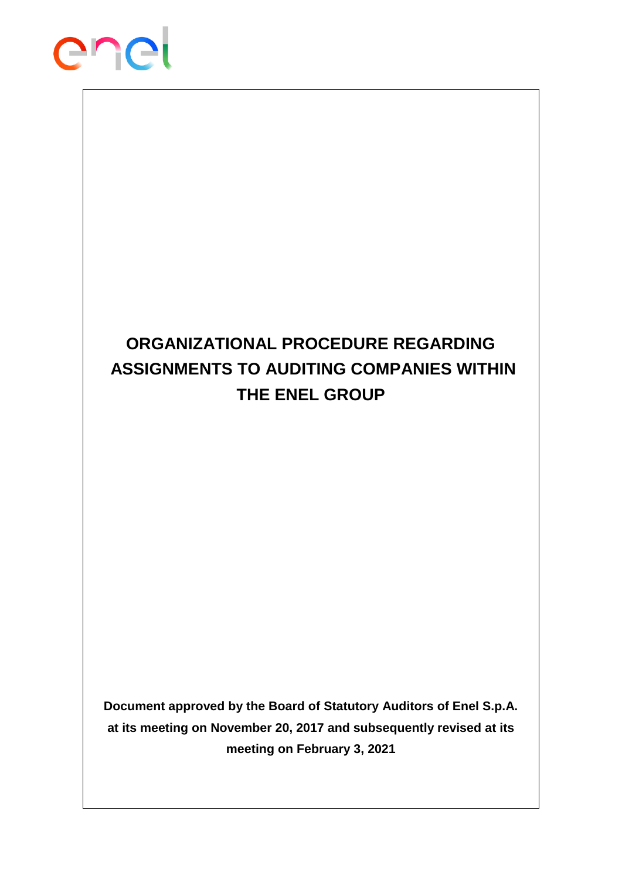

# **ORGANIZATIONAL PROCEDURE REGARDING ASSIGNMENTS TO AUDITING COMPANIES WITHIN THE ENEL GROUP**

**Document approved by the Board of Statutory Auditors of Enel S.p.A. at its meeting on November 20, 2017 and subsequently revised at its meeting on February 3, 2021**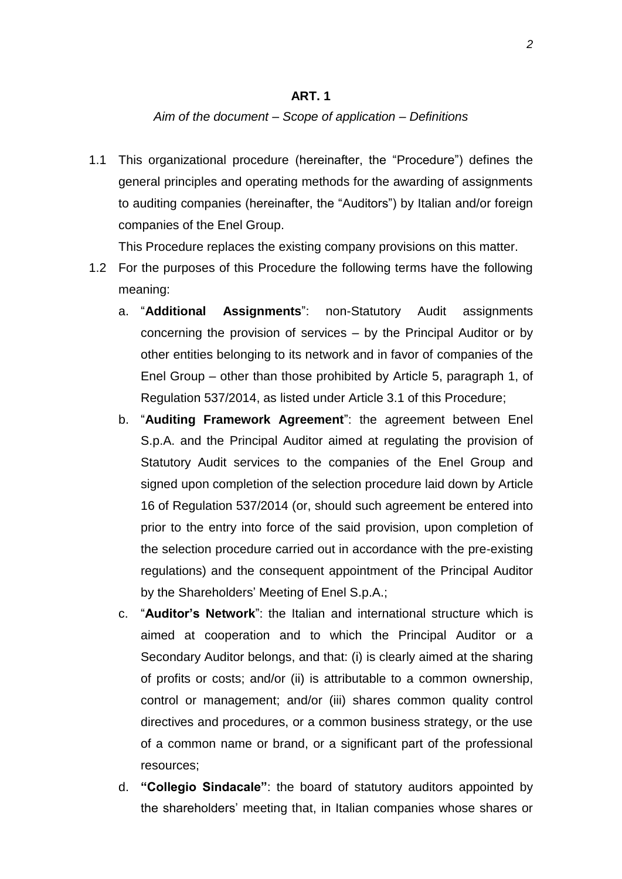### **ART. 1**

#### *Aim of the document – Scope of application – Definitions*

1.1 This organizational procedure (hereinafter, the "Procedure") defines the general principles and operating methods for the awarding of assignments to auditing companies (hereinafter, the "Auditors") by Italian and/or foreign companies of the Enel Group.

This Procedure replaces the existing company provisions on this matter.

- 1.2 For the purposes of this Procedure the following terms have the following meaning:
	- a. "**Additional Assignments**": non-Statutory Audit assignments concerning the provision of services – by the Principal Auditor or by other entities belonging to its network and in favor of companies of the Enel Group – other than those prohibited by Article 5, paragraph 1, of Regulation 537/2014, as listed under Article 3.1 of this Procedure;
	- b. "**Auditing Framework Agreement**": the agreement between Enel S.p.A. and the Principal Auditor aimed at regulating the provision of Statutory Audit services to the companies of the Enel Group and signed upon completion of the selection procedure laid down by Article 16 of Regulation 537/2014 (or, should such agreement be entered into prior to the entry into force of the said provision, upon completion of the selection procedure carried out in accordance with the pre-existing regulations) and the consequent appointment of the Principal Auditor by the Shareholders' Meeting of Enel S.p.A.;
	- c. "**Auditor's Network**": the Italian and international structure which is aimed at cooperation and to which the Principal Auditor or a Secondary Auditor belongs, and that: (i) is clearly aimed at the sharing of profits or costs; and/or (ii) is attributable to a common ownership, control or management; and/or (iii) shares common quality control directives and procedures, or a common business strategy, or the use of a common name or brand, or a significant part of the professional resources;
	- d. **"Collegio Sindacale"**: the board of statutory auditors appointed by the shareholders' meeting that, in Italian companies whose shares or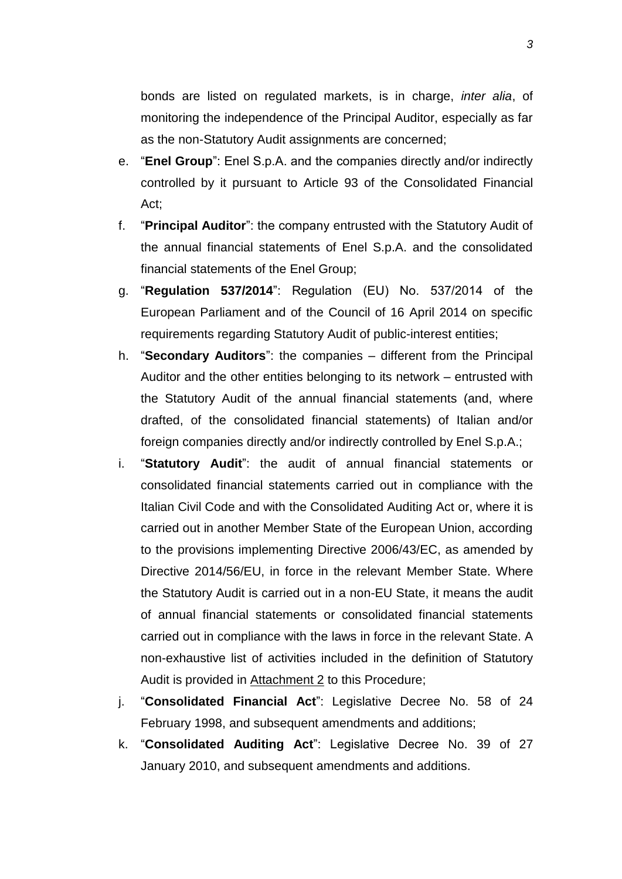bonds are listed on regulated markets, is in charge, *inter alia*, of monitoring the independence of the Principal Auditor, especially as far as the non-Statutory Audit assignments are concerned;

- e. "**Enel Group**": Enel S.p.A. and the companies directly and/or indirectly controlled by it pursuant to Article 93 of the Consolidated Financial Act;
- f. "**Principal Auditor**": the company entrusted with the Statutory Audit of the annual financial statements of Enel S.p.A. and the consolidated financial statements of the Enel Group;
- g. "**Regulation 537/2014**": Regulation (EU) No. 537/2014 of the European Parliament and of the Council of 16 April 2014 on specific requirements regarding Statutory Audit of public-interest entities;
- h. "**Secondary Auditors**": the companies different from the Principal Auditor and the other entities belonging to its network – entrusted with the Statutory Audit of the annual financial statements (and, where drafted, of the consolidated financial statements) of Italian and/or foreign companies directly and/or indirectly controlled by Enel S.p.A.;
- i. "**Statutory Audit**": the audit of annual financial statements or consolidated financial statements carried out in compliance with the Italian Civil Code and with the Consolidated Auditing Act or, where it is carried out in another Member State of the European Union, according to the provisions implementing Directive 2006/43/EC, as amended by Directive 2014/56/EU, in force in the relevant Member State. Where the Statutory Audit is carried out in a non-EU State, it means the audit of annual financial statements or consolidated financial statements carried out in compliance with the laws in force in the relevant State. A non-exhaustive list of activities included in the definition of Statutory Audit is provided in Attachment 2 to this Procedure;
- j. "**Consolidated Financial Act**": Legislative Decree No. 58 of 24 February 1998, and subsequent amendments and additions;
- k. "**Consolidated Auditing Act**": Legislative Decree No. 39 of 27 January 2010, and subsequent amendments and additions.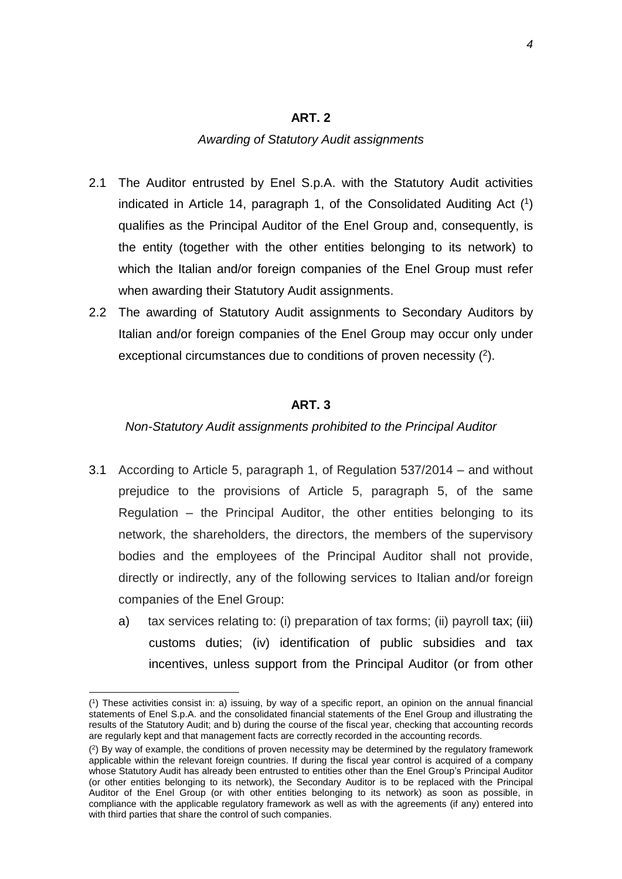### **ART. 2**

### *Awarding of Statutory Audit assignments*

- 2.1 The Auditor entrusted by Enel S.p.A. with the Statutory Audit activities indicated in Article 14, paragraph 1, of the Consolidated Auditing Act ( 1 ) qualifies as the Principal Auditor of the Enel Group and, consequently, is the entity (together with the other entities belonging to its network) to which the Italian and/or foreign companies of the Enel Group must refer when awarding their Statutory Audit assignments.
- 2.2 The awarding of Statutory Audit assignments to Secondary Auditors by Italian and/or foreign companies of the Enel Group may occur only under exceptional circumstances due to conditions of proven necessity  $(2)$ .

### **ART. 3**

### *Non-Statutory Audit assignments prohibited to the Principal Auditor*

- 3.1 According to Article 5, paragraph 1, of Regulation 537/2014 and without prejudice to the provisions of Article 5, paragraph 5, of the same Regulation – the Principal Auditor, the other entities belonging to its network, the shareholders, the directors, the members of the supervisory bodies and the employees of the Principal Auditor shall not provide, directly or indirectly, any of the following services to Italian and/or foreign companies of the Enel Group:
	- a) tax services relating to: (i) preparation of tax forms; (ii) payroll tax; (iii) customs duties; (iv) identification of public subsidies and tax incentives, unless support from the Principal Auditor (or from other

<sup>(</sup> 1 ) These activities consist in: a) issuing, by way of a specific report, an opinion on the annual financial statements of Enel S.p.A. and the consolidated financial statements of the Enel Group and illustrating the results of the Statutory Audit; and b) during the course of the fiscal year, checking that accounting records are regularly kept and that management facts are correctly recorded in the accounting records.

<sup>(</sup> 2 ) By way of example, the conditions of proven necessity may be determined by the regulatory framework applicable within the relevant foreign countries. If during the fiscal year control is acquired of a company whose Statutory Audit has already been entrusted to entities other than the Enel Group's Principal Auditor (or other entities belonging to its network), the Secondary Auditor is to be replaced with the Principal Auditor of the Enel Group (or with other entities belonging to its network) as soon as possible, in compliance with the applicable regulatory framework as well as with the agreements (if any) entered into with third parties that share the control of such companies.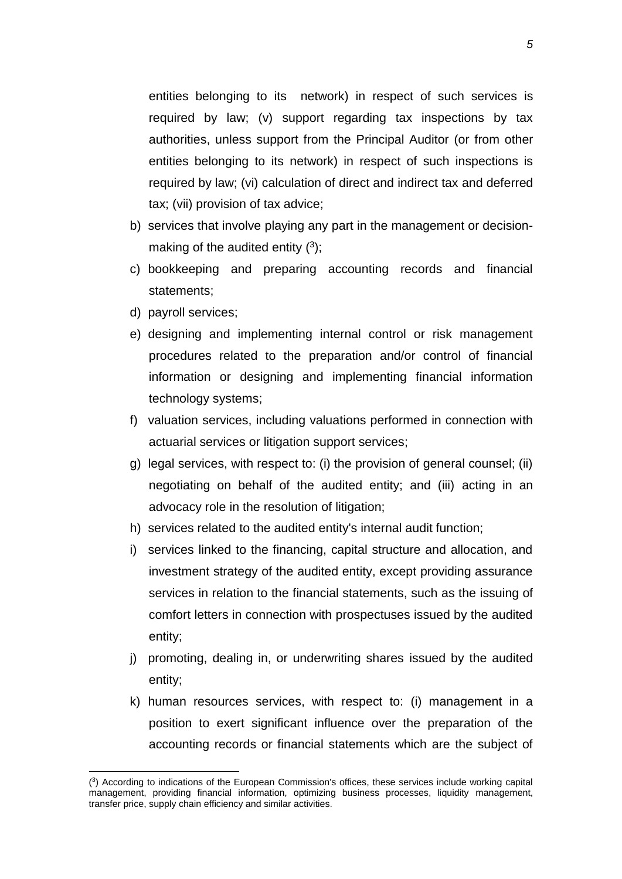entities belonging to its network) in respect of such services is required by law; (v) support regarding tax inspections by tax authorities, unless support from the Principal Auditor (or from other entities belonging to its network) in respect of such inspections is required by law; (vi) calculation of direct and indirect tax and deferred tax; (vii) provision of tax advice;

- b) services that involve playing any part in the management or decisionmaking of the audited entity  $(3)$ ;
- c) bookkeeping and preparing accounting records and financial statements;
- d) payroll services;

- e) designing and implementing internal control or risk management procedures related to the preparation and/or control of financial information or designing and implementing financial information technology systems;
- f) valuation services, including valuations performed in connection with actuarial services or litigation support services;
- g) legal services, with respect to: (i) the provision of general counsel; (ii) negotiating on behalf of the audited entity; and (iii) acting in an advocacy role in the resolution of litigation;
- h) services related to the audited entity's internal audit function;
- i) services linked to the financing, capital structure and allocation, and investment strategy of the audited entity, except providing assurance services in relation to the financial statements, such as the issuing of comfort letters in connection with prospectuses issued by the audited entity;
- j) promoting, dealing in, or underwriting shares issued by the audited entity;
- k) human resources services, with respect to: (i) management in a position to exert significant influence over the preparation of the accounting records or financial statements which are the subject of

<sup>(</sup> 3 ) According to indications of the European Commission's offices, these services include working capital management, providing financial information, optimizing business processes, liquidity management, transfer price, supply chain efficiency and similar activities.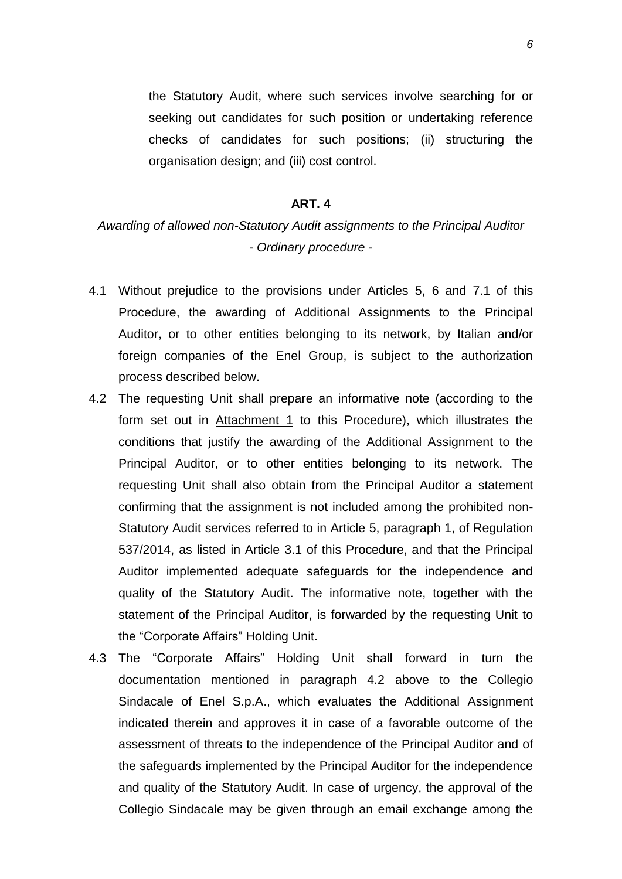the Statutory Audit, where such services involve searching for or seeking out candidates for such position or undertaking reference checks of candidates for such positions; (ii) structuring the organisation design; and (iii) cost control.

### **ART. 4**

# *Awarding of allowed non-Statutory Audit assignments to the Principal Auditor - Ordinary procedure -*

- 4.1 Without prejudice to the provisions under Articles 5, 6 and 7.1 of this Procedure, the awarding of Additional Assignments to the Principal Auditor, or to other entities belonging to its network, by Italian and/or foreign companies of the Enel Group, is subject to the authorization process described below.
- 4.2 The requesting Unit shall prepare an informative note (according to the form set out in Attachment 1 to this Procedure), which illustrates the conditions that justify the awarding of the Additional Assignment to the Principal Auditor, or to other entities belonging to its network. The requesting Unit shall also obtain from the Principal Auditor a statement confirming that the assignment is not included among the prohibited non-Statutory Audit services referred to in Article 5, paragraph 1, of Regulation 537/2014, as listed in Article 3.1 of this Procedure, and that the Principal Auditor implemented adequate safeguards for the independence and quality of the Statutory Audit. The informative note, together with the statement of the Principal Auditor, is forwarded by the requesting Unit to the "Corporate Affairs" Holding Unit.
- 4.3 The "Corporate Affairs" Holding Unit shall forward in turn the documentation mentioned in paragraph 4.2 above to the Collegio Sindacale of Enel S.p.A., which evaluates the Additional Assignment indicated therein and approves it in case of a favorable outcome of the assessment of threats to the independence of the Principal Auditor and of the safeguards implemented by the Principal Auditor for the independence and quality of the Statutory Audit. In case of urgency, the approval of the Collegio Sindacale may be given through an email exchange among the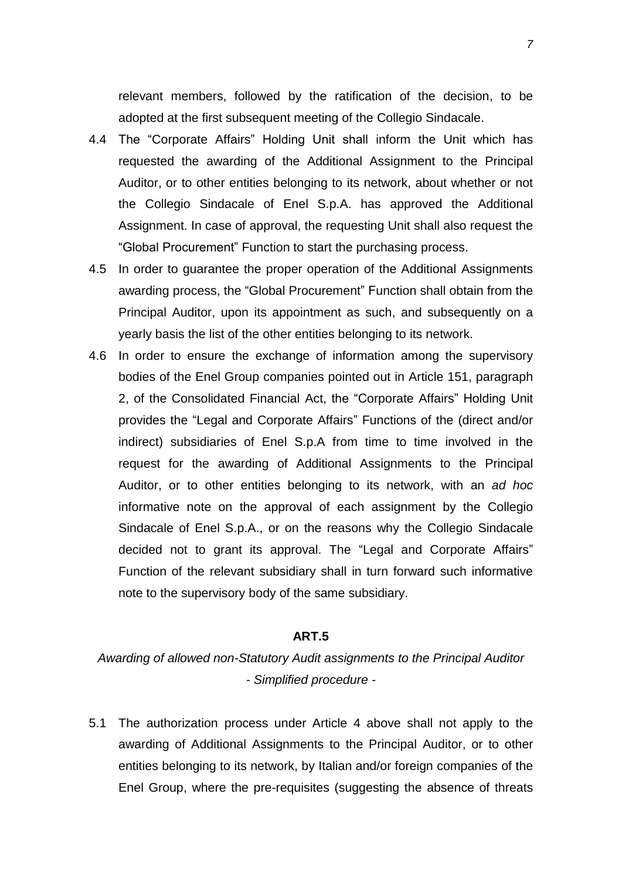relevant members, followed by the ratification of the decision, to be adopted at the first subsequent meeting of the Collegio Sindacale.

- 4.4 The "Corporate Affairs" Holding Unit shall inform the Unit which has requested the awarding of the Additional Assignment to the Principal Auditor, or to other entities belonging to its network, about whether or not the Collegio Sindacale of Enel S.p.A. has approved the Additional Assignment. In case of approval, the requesting Unit shall also request the "Global Procurement" Function to start the purchasing process.
- 4.5 In order to guarantee the proper operation of the Additional Assignments awarding process, the "Global Procurement" Function shall obtain from the Principal Auditor, upon its appointment as such, and subsequently on a yearly basis the list of the other entities belonging to its network.
- 4.6 In order to ensure the exchange of information among the supervisory bodies of the Enel Group companies pointed out in Article 151, paragraph 2, of the Consolidated Financial Act, the "Corporate Affairs" Holding Unit provides the "Legal and Corporate Affairs" Functions of the (direct and/or indirect) subsidiaries of Enel S.p.A from time to time involved in the request for the awarding of Additional Assignments to the Principal Auditor, or to other entities belonging to its network, with an *ad hoc* informative note on the approval of each assignment by the Collegio Sindacale of Enel S.p.A., or on the reasons why the Collegio Sindacale decided not to grant its approval. The "Legal and Corporate Affairs" Function of the relevant subsidiary shall in turn forward such informative note to the supervisory body of the same subsidiary.

### **ART.5**

*Awarding of allowed non-Statutory Audit assignments to the Principal Auditor - Simplified procedure -*

5.1 The authorization process under Article 4 above shall not apply to the awarding of Additional Assignments to the Principal Auditor, or to other entities belonging to its network, by Italian and/or foreign companies of the Enel Group, where the pre-requisites (suggesting the absence of threats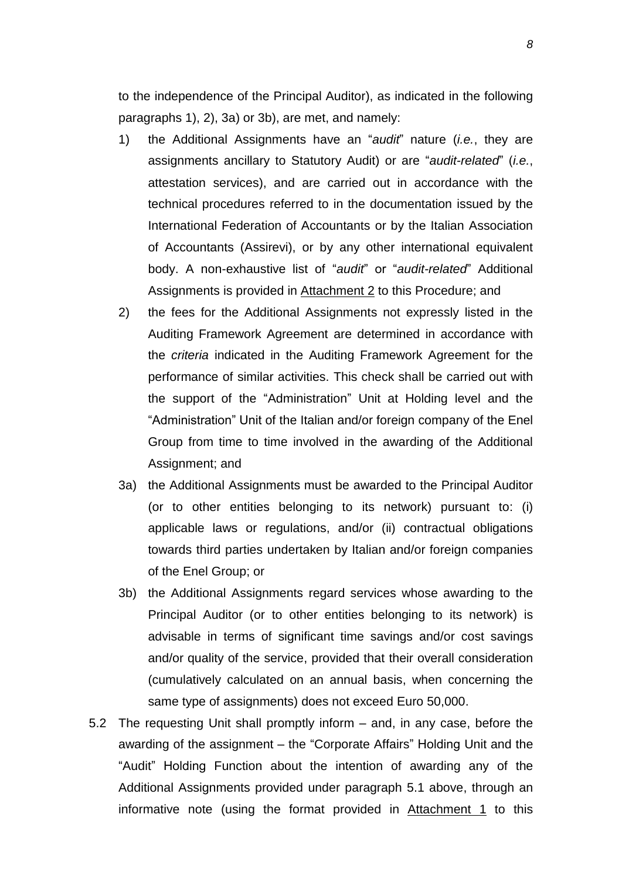to the independence of the Principal Auditor), as indicated in the following paragraphs 1), 2), 3a) or 3b), are met, and namely:

- 1) the Additional Assignments have an "*audit*" nature (*i.e.*, they are assignments ancillary to Statutory Audit) or are "*audit-related*" (*i.e.*, attestation services), and are carried out in accordance with the technical procedures referred to in the documentation issued by the International Federation of Accountants or by the Italian Association of Accountants (Assirevi), or by any other international equivalent body. A non-exhaustive list of "*audit*" or "*audit-related*" Additional Assignments is provided in Attachment 2 to this Procedure; and
- 2) the fees for the Additional Assignments not expressly listed in the Auditing Framework Agreement are determined in accordance with the *criteria* indicated in the Auditing Framework Agreement for the performance of similar activities. This check shall be carried out with the support of the "Administration" Unit at Holding level and the "Administration" Unit of the Italian and/or foreign company of the Enel Group from time to time involved in the awarding of the Additional Assignment; and
- 3a) the Additional Assignments must be awarded to the Principal Auditor (or to other entities belonging to its network) pursuant to: (i) applicable laws or regulations, and/or (ii) contractual obligations towards third parties undertaken by Italian and/or foreign companies of the Enel Group; or
- 3b) the Additional Assignments regard services whose awarding to the Principal Auditor (or to other entities belonging to its network) is advisable in terms of significant time savings and/or cost savings and/or quality of the service, provided that their overall consideration (cumulatively calculated on an annual basis, when concerning the same type of assignments) does not exceed Euro 50,000.
- 5.2 The requesting Unit shall promptly inform and, in any case, before the awarding of the assignment – the "Corporate Affairs" Holding Unit and the "Audit" Holding Function about the intention of awarding any of the Additional Assignments provided under paragraph 5.1 above, through an informative note (using the format provided in Attachment 1 to this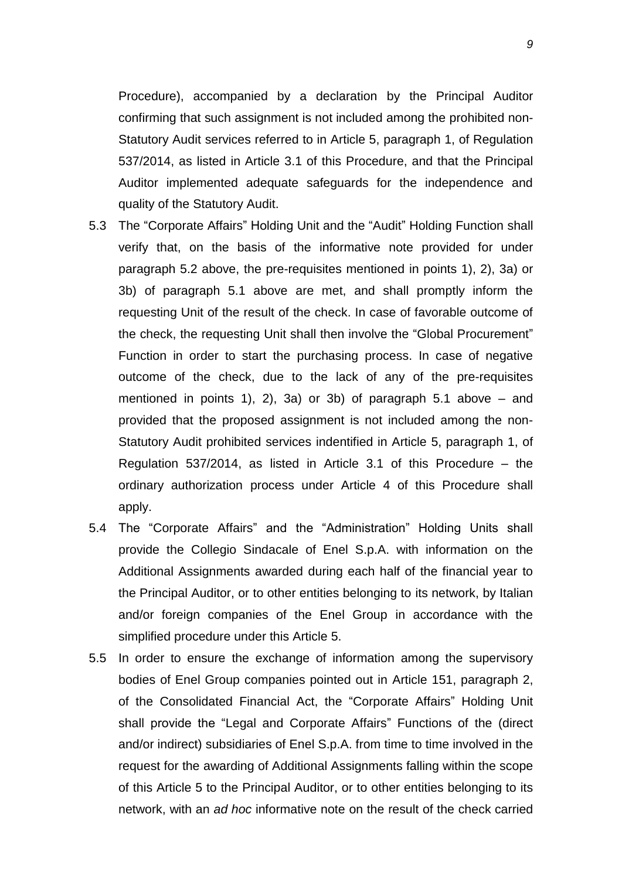Procedure), accompanied by a declaration by the Principal Auditor confirming that such assignment is not included among the prohibited non-Statutory Audit services referred to in Article 5, paragraph 1, of Regulation 537/2014, as listed in Article 3.1 of this Procedure, and that the Principal Auditor implemented adequate safeguards for the independence and quality of the Statutory Audit.

- 5.3 The "Corporate Affairs" Holding Unit and the "Audit" Holding Function shall verify that, on the basis of the informative note provided for under paragraph 5.2 above, the pre-requisites mentioned in points 1), 2), 3a) or 3b) of paragraph 5.1 above are met, and shall promptly inform the requesting Unit of the result of the check. In case of favorable outcome of the check, the requesting Unit shall then involve the "Global Procurement" Function in order to start the purchasing process. In case of negative outcome of the check, due to the lack of any of the pre-requisites mentioned in points 1), 2), 3a) or 3b) of paragraph 5.1 above – and provided that the proposed assignment is not included among the non-Statutory Audit prohibited services indentified in Article 5, paragraph 1, of Regulation 537/2014, as listed in Article 3.1 of this Procedure – the ordinary authorization process under Article 4 of this Procedure shall apply.
- 5.4 The "Corporate Affairs" and the "Administration" Holding Units shall provide the Collegio Sindacale of Enel S.p.A. with information on the Additional Assignments awarded during each half of the financial year to the Principal Auditor, or to other entities belonging to its network, by Italian and/or foreign companies of the Enel Group in accordance with the simplified procedure under this Article 5.
- 5.5 In order to ensure the exchange of information among the supervisory bodies of Enel Group companies pointed out in Article 151, paragraph 2, of the Consolidated Financial Act, the "Corporate Affairs" Holding Unit shall provide the "Legal and Corporate Affairs" Functions of the (direct and/or indirect) subsidiaries of Enel S.p.A. from time to time involved in the request for the awarding of Additional Assignments falling within the scope of this Article 5 to the Principal Auditor, or to other entities belonging to its network, with an *ad hoc* informative note on the result of the check carried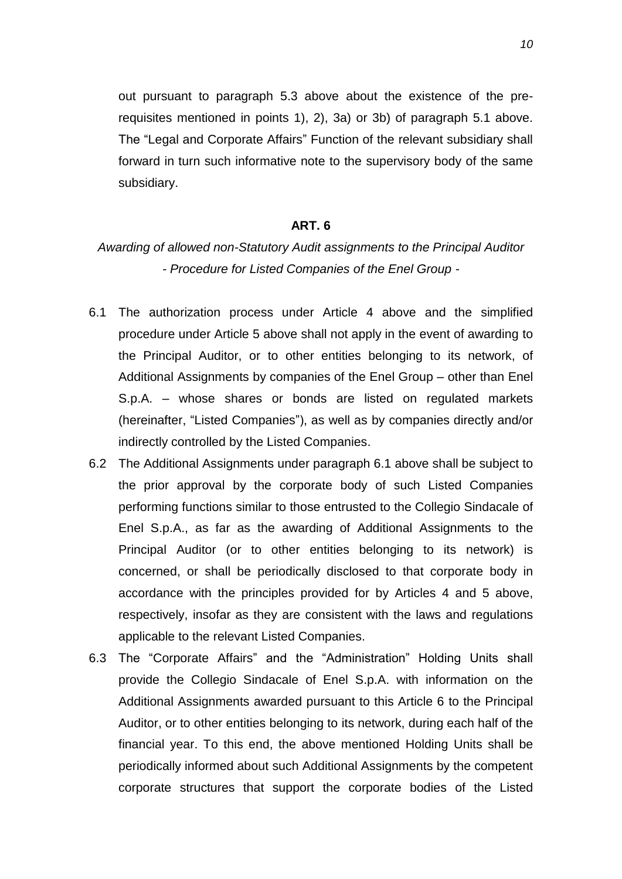out pursuant to paragraph 5.3 above about the existence of the prerequisites mentioned in points 1), 2), 3a) or 3b) of paragraph 5.1 above. The "Legal and Corporate Affairs" Function of the relevant subsidiary shall forward in turn such informative note to the supervisory body of the same subsidiary.

### **ART. 6**

# *Awarding of allowed non-Statutory Audit assignments to the Principal Auditor - Procedure for Listed Companies of the Enel Group -*

- 6.1 The authorization process under Article 4 above and the simplified procedure under Article 5 above shall not apply in the event of awarding to the Principal Auditor, or to other entities belonging to its network, of Additional Assignments by companies of the Enel Group – other than Enel S.p.A. – whose shares or bonds are listed on regulated markets (hereinafter, "Listed Companies"), as well as by companies directly and/or indirectly controlled by the Listed Companies.
- 6.2 The Additional Assignments under paragraph 6.1 above shall be subject to the prior approval by the corporate body of such Listed Companies performing functions similar to those entrusted to the Collegio Sindacale of Enel S.p.A., as far as the awarding of Additional Assignments to the Principal Auditor (or to other entities belonging to its network) is concerned, or shall be periodically disclosed to that corporate body in accordance with the principles provided for by Articles 4 and 5 above, respectively, insofar as they are consistent with the laws and regulations applicable to the relevant Listed Companies.
- 6.3 The "Corporate Affairs" and the "Administration" Holding Units shall provide the Collegio Sindacale of Enel S.p.A. with information on the Additional Assignments awarded pursuant to this Article 6 to the Principal Auditor, or to other entities belonging to its network, during each half of the financial year. To this end, the above mentioned Holding Units shall be periodically informed about such Additional Assignments by the competent corporate structures that support the corporate bodies of the Listed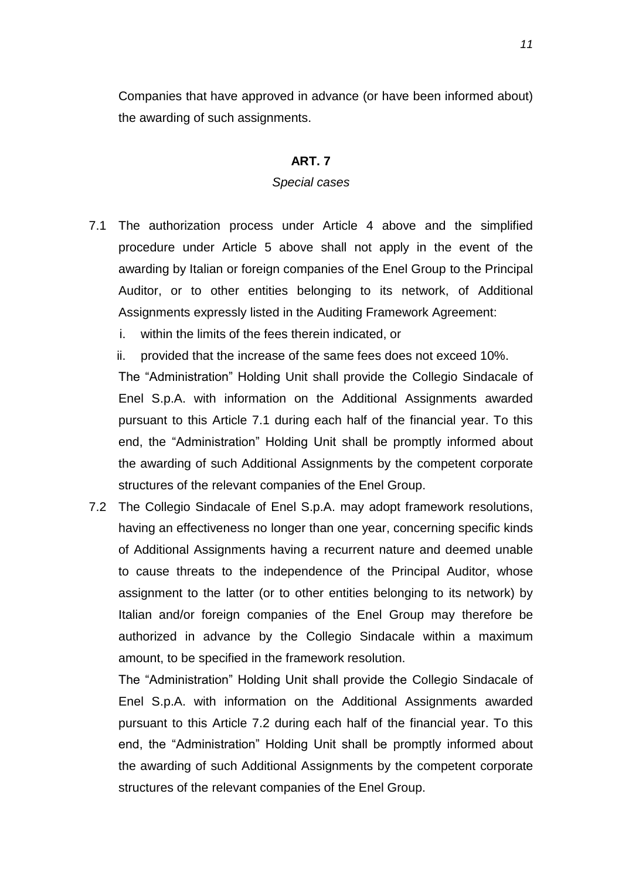Companies that have approved in advance (or have been informed about) the awarding of such assignments.

### **ART. 7**

### *Special cases*

- 7.1 The authorization process under Article 4 above and the simplified procedure under Article 5 above shall not apply in the event of the awarding by Italian or foreign companies of the Enel Group to the Principal Auditor, or to other entities belonging to its network, of Additional Assignments expressly listed in the Auditing Framework Agreement:
	- i. within the limits of the fees therein indicated, or
	- ii. provided that the increase of the same fees does not exceed 10%.

The "Administration" Holding Unit shall provide the Collegio Sindacale of Enel S.p.A. with information on the Additional Assignments awarded pursuant to this Article 7.1 during each half of the financial year. To this end, the "Administration" Holding Unit shall be promptly informed about the awarding of such Additional Assignments by the competent corporate structures of the relevant companies of the Enel Group.

7.2 The Collegio Sindacale of Enel S.p.A. may adopt framework resolutions, having an effectiveness no longer than one year, concerning specific kinds of Additional Assignments having a recurrent nature and deemed unable to cause threats to the independence of the Principal Auditor, whose assignment to the latter (or to other entities belonging to its network) by Italian and/or foreign companies of the Enel Group may therefore be authorized in advance by the Collegio Sindacale within a maximum amount, to be specified in the framework resolution.

The "Administration" Holding Unit shall provide the Collegio Sindacale of Enel S.p.A. with information on the Additional Assignments awarded pursuant to this Article 7.2 during each half of the financial year. To this end, the "Administration" Holding Unit shall be promptly informed about the awarding of such Additional Assignments by the competent corporate structures of the relevant companies of the Enel Group.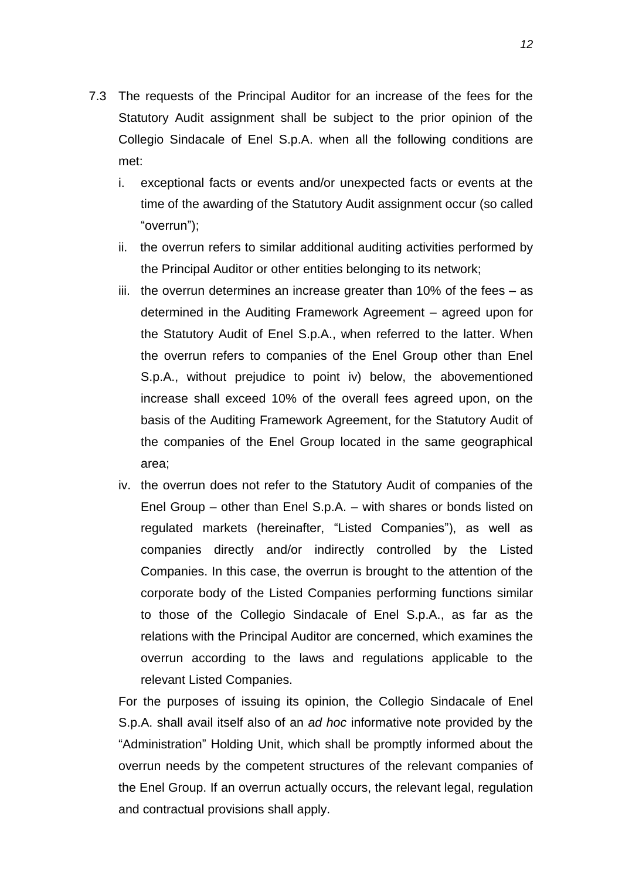- 7.3 The requests of the Principal Auditor for an increase of the fees for the Statutory Audit assignment shall be subject to the prior opinion of the Collegio Sindacale of Enel S.p.A. when all the following conditions are met:
	- i. exceptional facts or events and/or unexpected facts or events at the time of the awarding of the Statutory Audit assignment occur (so called "overrun");
	- ii. the overrun refers to similar additional auditing activities performed by the Principal Auditor or other entities belonging to its network;
	- iii. the overrun determines an increase greater than 10% of the fees  $-$  as determined in the Auditing Framework Agreement – agreed upon for the Statutory Audit of Enel S.p.A., when referred to the latter. When the overrun refers to companies of the Enel Group other than Enel S.p.A., without prejudice to point iv) below, the abovementioned increase shall exceed 10% of the overall fees agreed upon, on the basis of the Auditing Framework Agreement, for the Statutory Audit of the companies of the Enel Group located in the same geographical area;
	- iv. the overrun does not refer to the Statutory Audit of companies of the Enel Group – other than Enel S.p.A. – with shares or bonds listed on regulated markets (hereinafter, "Listed Companies"), as well as companies directly and/or indirectly controlled by the Listed Companies. In this case, the overrun is brought to the attention of the corporate body of the Listed Companies performing functions similar to those of the Collegio Sindacale of Enel S.p.A., as far as the relations with the Principal Auditor are concerned, which examines the overrun according to the laws and regulations applicable to the relevant Listed Companies.

For the purposes of issuing its opinion, the Collegio Sindacale of Enel S.p.A. shall avail itself also of an *ad hoc* informative note provided by the "Administration" Holding Unit, which shall be promptly informed about the overrun needs by the competent structures of the relevant companies of the Enel Group. If an overrun actually occurs, the relevant legal, regulation and contractual provisions shall apply.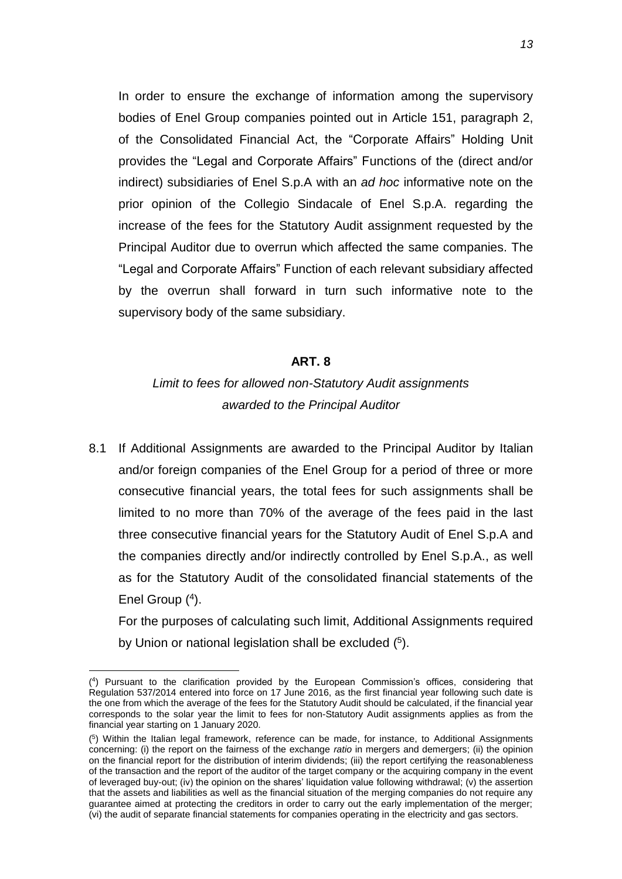In order to ensure the exchange of information among the supervisory bodies of Enel Group companies pointed out in Article 151, paragraph 2, of the Consolidated Financial Act, the "Corporate Affairs" Holding Unit provides the "Legal and Corporate Affairs" Functions of the (direct and/or indirect) subsidiaries of Enel S.p.A with an *ad hoc* informative note on the prior opinion of the Collegio Sindacale of Enel S.p.A. regarding the increase of the fees for the Statutory Audit assignment requested by the Principal Auditor due to overrun which affected the same companies. The "Legal and Corporate Affairs" Function of each relevant subsidiary affected by the overrun shall forward in turn such informative note to the supervisory body of the same subsidiary.

### **ART. 8**

### *Limit to fees for allowed non-Statutory Audit assignments awarded to the Principal Auditor*

8.1 If Additional Assignments are awarded to the Principal Auditor by Italian and/or foreign companies of the Enel Group for a period of three or more consecutive financial years, the total fees for such assignments shall be limited to no more than 70% of the average of the fees paid in the last three consecutive financial years for the Statutory Audit of Enel S.p.A and the companies directly and/or indirectly controlled by Enel S.p.A., as well as for the Statutory Audit of the consolidated financial statements of the Enel Group (4).

For the purposes of calculating such limit, Additional Assignments required by Union or national legislation shall be excluded (<sup>5</sup>).

<sup>(</sup> 4 ) Pursuant to the clarification provided by the European Commission's offices, considering that Regulation 537/2014 entered into force on 17 June 2016, as the first financial year following such date is the one from which the average of the fees for the Statutory Audit should be calculated, if the financial year corresponds to the solar year the limit to fees for non-Statutory Audit assignments applies as from the financial year starting on 1 January 2020.

<sup>(</sup> 5 ) Within the Italian legal framework, reference can be made, for instance, to Additional Assignments concerning: (i) the report on the fairness of the exchange *ratio* in mergers and demergers; (ii) the opinion on the financial report for the distribution of interim dividends; (iii) the report certifying the reasonableness of the transaction and the report of the auditor of the target company or the acquiring company in the event of leveraged buy-out; (iv) the opinion on the shares' liquidation value following withdrawal; (v) the assertion that the assets and liabilities as well as the financial situation of the merging companies do not require any guarantee aimed at protecting the creditors in order to carry out the early implementation of the merger; (vi) the audit of separate financial statements for companies operating in the electricity and gas sectors.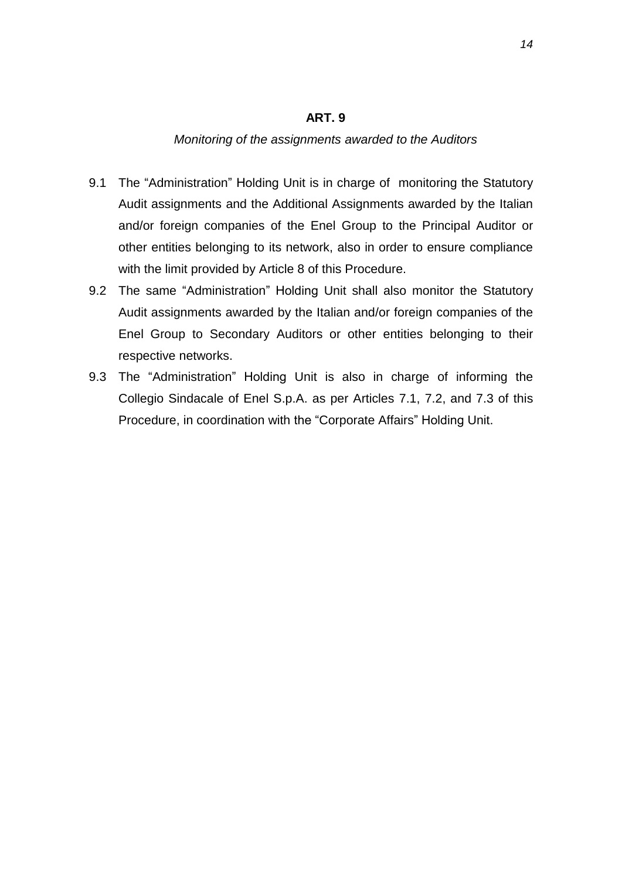#### **ART. 9**

#### *Monitoring of the assignments awarded to the Auditors*

- 9.1 The "Administration" Holding Unit is in charge of monitoring the Statutory Audit assignments and the Additional Assignments awarded by the Italian and/or foreign companies of the Enel Group to the Principal Auditor or other entities belonging to its network, also in order to ensure compliance with the limit provided by Article 8 of this Procedure.
- 9.2 The same "Administration" Holding Unit shall also monitor the Statutory Audit assignments awarded by the Italian and/or foreign companies of the Enel Group to Secondary Auditors or other entities belonging to their respective networks.
- 9.3 The "Administration" Holding Unit is also in charge of informing the Collegio Sindacale of Enel S.p.A. as per Articles 7.1, 7.2, and 7.3 of this Procedure, in coordination with the "Corporate Affairs" Holding Unit.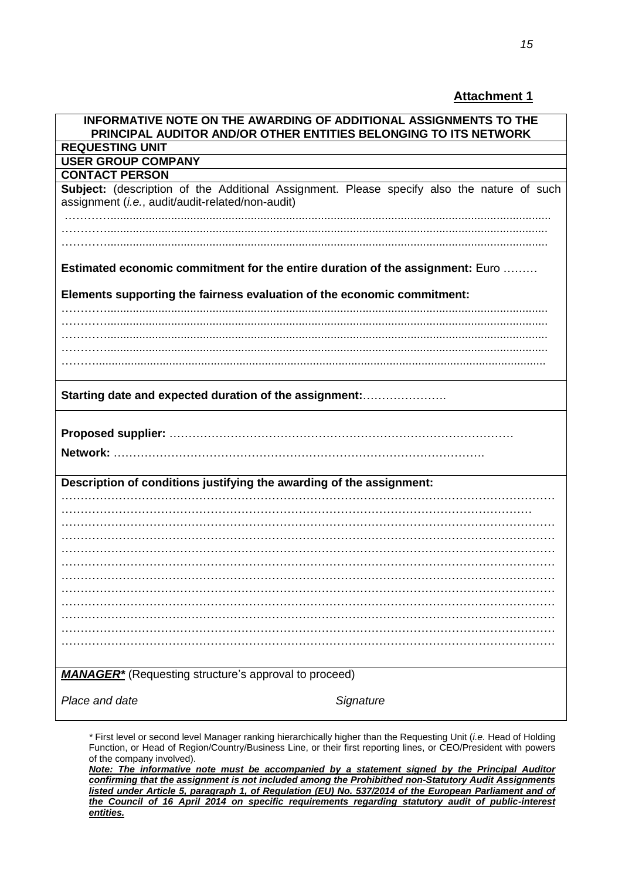### **Attachment 1**

| INFORMATIVE NOTE ON THE AWARDING OF ADDITIONAL ASSIGNMENTS TO THE<br>PRINCIPAL AUDITOR AND/OR OTHER ENTITIES BELONGING TO ITS NETWORK          |
|------------------------------------------------------------------------------------------------------------------------------------------------|
| <b>REQUESTING UNIT</b>                                                                                                                         |
| <b>USER GROUP COMPANY</b>                                                                                                                      |
| <b>CONTACT PERSON</b>                                                                                                                          |
| Subject: (description of the Additional Assignment. Please specify also the nature of such<br>assignment (i.e., audit/audit-related/non-audit) |
|                                                                                                                                                |
|                                                                                                                                                |
| Estimated economic commitment for the entire duration of the assignment: Euro                                                                  |
| Elements supporting the fairness evaluation of the economic commitment:                                                                        |
|                                                                                                                                                |
|                                                                                                                                                |
|                                                                                                                                                |
|                                                                                                                                                |
| Starting date and expected duration of the assignment:                                                                                         |
|                                                                                                                                                |
| Network:                                                                                                                                       |
| Description of conditions justifying the awarding of the assignment:                                                                           |
|                                                                                                                                                |
|                                                                                                                                                |
|                                                                                                                                                |
|                                                                                                                                                |
|                                                                                                                                                |
|                                                                                                                                                |
|                                                                                                                                                |
|                                                                                                                                                |
|                                                                                                                                                |
|                                                                                                                                                |
| <b>MANAGER</b> <sup>*</sup> (Requesting structure's approval to proceed)                                                                       |
| Place and date<br>Signature                                                                                                                    |

*\** First level or second level Manager ranking hierarchically higher than the Requesting Unit (*i.e.* Head of Holding Function, or Head of Region/Country/Business Line, or their first reporting lines, or CEO/President with powers of the company involved).

*Note: The informative note must be accompanied by a statement signed by the Principal Auditor confirming that the assignment is not included among the Prohibithed non-Statutory Audit Assignments listed under Article 5, paragraph 1, of Regulation (EU) No. 537/2014 of the European Parliament and of the Council of 16 April 2014 on specific requirements regarding statutory audit of public-interest entities.*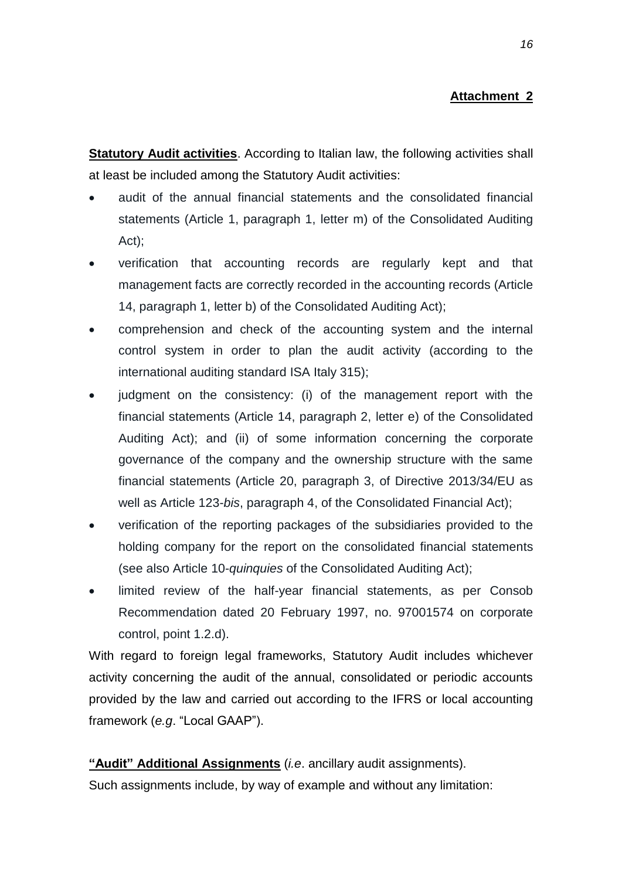### **Attachment 2**

**Statutory Audit activities**. According to Italian law, the following activities shall at least be included among the Statutory Audit activities:

- audit of the annual financial statements and the consolidated financial statements (Article 1, paragraph 1, letter m) of the Consolidated Auditing Act);
- verification that accounting records are regularly kept and that management facts are correctly recorded in the accounting records (Article 14, paragraph 1, letter b) of the Consolidated Auditing Act);
- comprehension and check of the accounting system and the internal control system in order to plan the audit activity (according to the international auditing standard ISA Italy 315);
- judgment on the consistency: (i) of the management report with the financial statements (Article 14, paragraph 2, letter e) of the Consolidated Auditing Act); and (ii) of some information concerning the corporate governance of the company and the ownership structure with the same financial statements (Article 20, paragraph 3, of Directive 2013/34/EU as well as Article 123-*bis*, paragraph 4, of the Consolidated Financial Act);
- verification of the reporting packages of the subsidiaries provided to the holding company for the report on the consolidated financial statements (see also Article 10-*quinquies* of the Consolidated Auditing Act);
- limited review of the half-year financial statements, as per Consob Recommendation dated 20 February 1997, no. 97001574 on corporate control, point 1.2.d).

With regard to foreign legal frameworks, Statutory Audit includes whichever activity concerning the audit of the annual, consolidated or periodic accounts provided by the law and carried out according to the IFRS or local accounting framework (*e.g*. "Local GAAP").

**"Audit" Additional Assignments** (*i.e*. ancillary audit assignments).

Such assignments include, by way of example and without any limitation: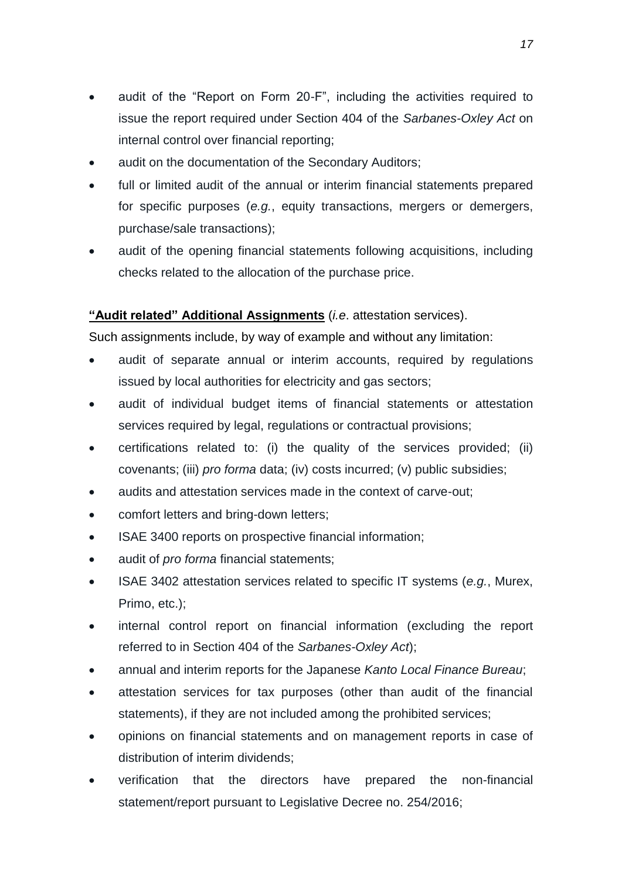- audit of the "Report on Form 20-F", including the activities required to issue the report required under Section 404 of the *Sarbanes-Oxley Act* on internal control over financial reporting;
- audit on the documentation of the Secondary Auditors;
- full or limited audit of the annual or interim financial statements prepared for specific purposes (*e.g.*, equity transactions, mergers or demergers, purchase/sale transactions);
- audit of the opening financial statements following acquisitions, including checks related to the allocation of the purchase price.

### **"Audit related" Additional Assignments** (*i.e*. attestation services).

Such assignments include, by way of example and without any limitation:

- audit of separate annual or interim accounts, required by regulations issued by local authorities for electricity and gas sectors;
- audit of individual budget items of financial statements or attestation services required by legal, regulations or contractual provisions;
- certifications related to: (i) the quality of the services provided; (ii) covenants; (iii) *pro forma* data; (iv) costs incurred; (v) public subsidies;
- audits and attestation services made in the context of carve-out;
- comfort letters and bring-down letters;
- ISAE 3400 reports on prospective financial information;
- audit of *pro forma* financial statements;
- ISAE 3402 attestation services related to specific IT systems (*e.g.*, Murex, Primo, etc.);
- internal control report on financial information (excluding the report referred to in Section 404 of the *Sarbanes-Oxley Act*);
- annual and interim reports for the Japanese *Kanto Local Finance Bureau*;
- attestation services for tax purposes (other than audit of the financial statements), if they are not included among the prohibited services;
- opinions on financial statements and on management reports in case of distribution of interim dividends;
- verification that the directors have prepared the non-financial statement/report pursuant to Legislative Decree no. 254/2016;